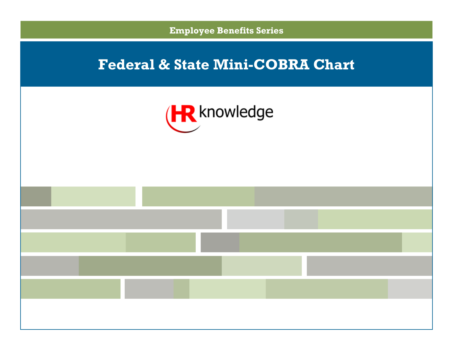



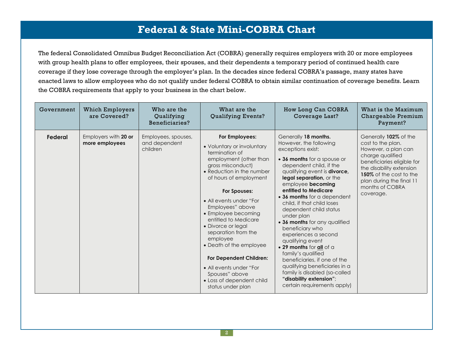The federal Consolidated Omnibus Budget Reconciliation Act (COBRA) generally requires employers with 20 or more employees with group health plans to offer employees, their spouses, and their dependents a temporary period of continued health care coverage if they lose coverage through the employer's plan. In the decades since federal COBRA's passage, many states have enacted laws to allow employees who do not qualify under federal COBRA to obtain similar continuation of coverage benefits. Learn the COBRA requirements that apply to your business in the chart below.

| Government | <b>Which Employers</b><br>are Covered? | Who are the<br>Qualifying<br>Beneficiaries?      | What are the<br><b>Qualifying Events?</b>                                                                                                                                                                                                                                                                                                                                                                                                                                                               | How Long Can COBRA<br>Coverage Last?                                                                                                                                                                                                                                                                                                                                                                                                                                                                                                                                                                                                                              | What is the Maximum<br>Chargeable Premium<br>Payment?                                                                                                                                                                                  |
|------------|----------------------------------------|--------------------------------------------------|---------------------------------------------------------------------------------------------------------------------------------------------------------------------------------------------------------------------------------------------------------------------------------------------------------------------------------------------------------------------------------------------------------------------------------------------------------------------------------------------------------|-------------------------------------------------------------------------------------------------------------------------------------------------------------------------------------------------------------------------------------------------------------------------------------------------------------------------------------------------------------------------------------------------------------------------------------------------------------------------------------------------------------------------------------------------------------------------------------------------------------------------------------------------------------------|----------------------------------------------------------------------------------------------------------------------------------------------------------------------------------------------------------------------------------------|
| Federal    | Employers with 20 or<br>more employees | Employees, spouses,<br>and dependent<br>children | For Employees:<br>• Voluntary or involuntary<br>termination of<br>employment (other than<br>gross misconduct)<br>• Reduction in the number<br>of hours of employment<br>For Spouses:<br>• All events under "For<br>Employees" above<br>• Employee becoming<br>entitled to Medicare<br>• Divorce or legal<br>separation from the<br>employee<br>• Death of the employee<br><b>For Dependent Children:</b><br>• All events under "For<br>Spouses" above<br>· Loss of dependent child<br>status under plan | Generally 18 months.<br>However, the following<br>exceptions exist:<br>• 36 months for a spouse or<br>dependent child, if the<br>qualifying event is <b>divorce</b> ,<br>legal separation, or the<br>employee becoming<br>entitled to Medicare<br>• 36 months for a dependent<br>child, if that child loses<br>dependent child status<br>under plan<br>• 36 months for any qualified<br>beneficiary who<br>experiences a second<br>qualifying event<br>. 29 months for all of a<br>family's qualified<br>beneficiaries, if one of the<br>qualifying beneficiaries in a<br>family is disabled (so-called<br>"disability extension";<br>certain requirements apply) | Generally 102% of the<br>cost to the plan.<br>However, a plan can<br>charge qualified<br>beneficiaries eligible for<br>the disability extension<br>150% of the cost to the<br>plan during the final 11<br>months of COBRA<br>coverage. |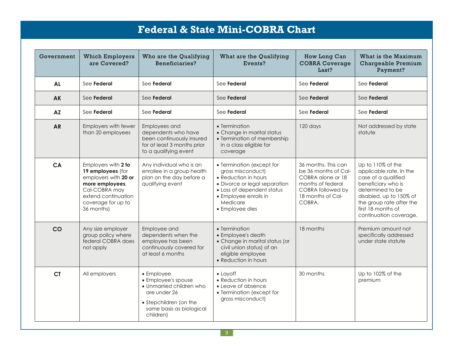| Government | <b>Which Employers</b><br>are Covered?                                                                                                                          | Who are the Qualifying<br>Beneficiaries?                                                                                                         | What are the Qualifying<br>Events?                                                                                                                                                            | How Long Can<br><b>COBRA Coverage</b><br>Last?                                                                                            | What is the Maximum<br>Chargeable Premium<br>Payment?                                                                                                                                                                |
|------------|-----------------------------------------------------------------------------------------------------------------------------------------------------------------|--------------------------------------------------------------------------------------------------------------------------------------------------|-----------------------------------------------------------------------------------------------------------------------------------------------------------------------------------------------|-------------------------------------------------------------------------------------------------------------------------------------------|----------------------------------------------------------------------------------------------------------------------------------------------------------------------------------------------------------------------|
| <b>AL</b>  | See Federal                                                                                                                                                     | See Federal                                                                                                                                      | See Federal                                                                                                                                                                                   | See Federal                                                                                                                               | See Federal                                                                                                                                                                                                          |
| <b>AK</b>  | See Federal                                                                                                                                                     | See Federal                                                                                                                                      | See Federal                                                                                                                                                                                   | See Federal                                                                                                                               | See Federal                                                                                                                                                                                                          |
| <b>AZ</b>  | See Federal                                                                                                                                                     | See Federal                                                                                                                                      | See Federal                                                                                                                                                                                   | See Federal                                                                                                                               | See Federal                                                                                                                                                                                                          |
| <b>AR</b>  | Employers with fewer<br>than 20 employees                                                                                                                       | Employees and<br>dependents who have<br>been continuously insured<br>for at least 3 months prior<br>to a qualifying event                        | • Termination<br>• Change in marital status<br>• Termination of membership<br>in a class eligible for<br>coverage                                                                             | 120 days                                                                                                                                  | Not addressed by state<br>statute                                                                                                                                                                                    |
| <b>CA</b>  | Employers with 2 to<br>19 employees (for<br>employers with 20 or<br>more employees,<br>Cal-COBRA may<br>extend continuation<br>coverage for up to<br>36 months) | Any individual who is an<br>enrollee in a group health<br>plan on the day before a<br>qualifying event                                           | • Termination (except for<br>gross misconduct)<br>• Reduction in hours<br>• Divorce or legal separation<br>• Loss of dependent status<br>• Employee enrolls in<br>Medicare<br>• Employee dies | 36 months. This can<br>be 36 months of Cal-<br>COBRA alone or 18<br>months of federal<br>COBRA followed by<br>18 months of Cal-<br>COBRA. | Up to 110% of the<br>applicable rate. In the<br>case of a qualified<br>beneficiary who is<br>determined to be<br>disabled, up to 150% of<br>the group rate after the<br>first 18 months of<br>continuation coverage. |
| CO         | Any size employer<br>group policy where<br>federal COBRA does<br>not apply                                                                                      | Employee and<br>dependents when the<br>employee has been<br>continuously covered for<br>at least 6 months                                        | • Termination<br>• Employee's death<br>• Change in marital status (or<br>civil union status) of an<br>eligible employee<br>• Reduction in hours                                               | 18 months                                                                                                                                 | Premium amount not<br>specifically addressed<br>under state statute                                                                                                                                                  |
| <b>CT</b>  | All employers                                                                                                                                                   | • Employee<br>• Employee's spouse<br>• Unmarried children who<br>are under 26<br>• Stepchildren (on the<br>same basis as biological<br>children) | $\bullet$ Layoff<br>• Reduction in hours<br>• Leave of absence<br>• Termination (except for<br>gross misconduct)                                                                              | 30 months                                                                                                                                 | Up to 102% of the<br>premium                                                                                                                                                                                         |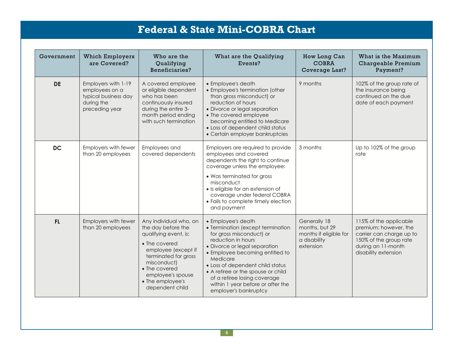| Government | <b>Which Employers</b><br>are Covered?                                                        | Who are the<br>Qualifying<br>Beneficiaries?                                                                                                                                                                                       | What are the Qualifying<br>Events?                                                                                                                                                                                                                                                                                                                                | How Long Can<br><b>COBRA</b><br>Coverage Last?                                        | What is the Maximum<br>Chargeable Premium<br>Payment?                                                                                               |
|------------|-----------------------------------------------------------------------------------------------|-----------------------------------------------------------------------------------------------------------------------------------------------------------------------------------------------------------------------------------|-------------------------------------------------------------------------------------------------------------------------------------------------------------------------------------------------------------------------------------------------------------------------------------------------------------------------------------------------------------------|---------------------------------------------------------------------------------------|-----------------------------------------------------------------------------------------------------------------------------------------------------|
| <b>DE</b>  | Employers with 1-19<br>employees on a<br>typical business day<br>during the<br>preceding year | A covered employee<br>or eligible dependent<br>who has been<br>continuously insured<br>during the entire 3-<br>month period ending<br>with such termination                                                                       | • Employee's death<br>• Employee's termination (other<br>than gross misconduct) or<br>reduction of hours<br>• Divorce or legal separation<br>• The covered employee<br>becoming entitled to Medicare<br>• Loss of dependent child status<br>• Certain employer bankruptcies                                                                                       | 9 months                                                                              | 102% of the group rate of<br>the insurance being<br>continued on the due<br>date of each payment                                                    |
| <b>DC</b>  | Employers with fewer<br>than 20 employees                                                     | Employees and<br>covered dependents                                                                                                                                                                                               | Employers are required to provide<br>employees and covered<br>dependents the right to continue<br>coverage unless the employee:<br>• Was terminated for gross<br>misconduct<br>· Is eligible for an extension of<br>coverage under federal COBRA<br>• Fails to complete timely election<br>and payment                                                            | 3 months                                                                              | Up to 102% of the group<br>rate                                                                                                                     |
| <b>FL</b>  | Employers with fewer<br>than 20 employees                                                     | Any individual who, on<br>the day before the<br>qualifying event, is:<br>• The covered<br>employee (except if<br>terminated for gross<br>misconduct)<br>• The covered<br>employee's spouse<br>• The employee's<br>dependent child | • Employee's death<br>• Termination (except termination<br>for gross misconduct) or<br>reduction in hours<br>• Divorce or legal separation<br>• Employee becoming entitled to<br>Medicare<br>• Loss of dependent child status<br>• A retiree or the spouse or child<br>of a retiree losing coverage<br>within 1 year before or after the<br>employer's bankruptcy | Generally 18<br>months, but 29<br>months if eligible for<br>a disability<br>extension | 115% of the applicable<br>premium; however, the<br>carrier can charge up to<br>150% of the group rate<br>during an 11-month<br>disability extension |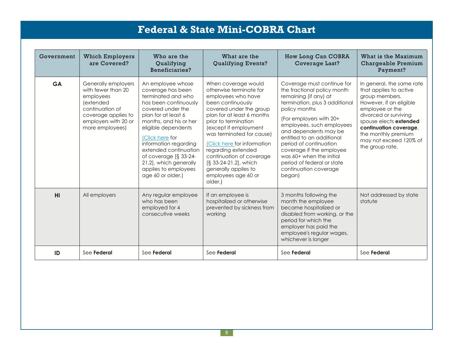| Government | <b>Which Employers</b><br>are Covered?                                                                                                                   | Who are the<br>Qualifying<br>Beneficiaries?                                                                                                                                                                                                                                                                                                             | What are the<br><b>Qualifying Events?</b>                                                                                                                                                                                                                                                                                                                                                            | How Long Can COBRA<br>Coverage Last?                                                                                                                                                                                                                                                                                                                                                                   | What is the Maximum<br>Chargeable Premium<br>Payment?                                                                                                                                                                                                                |
|------------|----------------------------------------------------------------------------------------------------------------------------------------------------------|---------------------------------------------------------------------------------------------------------------------------------------------------------------------------------------------------------------------------------------------------------------------------------------------------------------------------------------------------------|------------------------------------------------------------------------------------------------------------------------------------------------------------------------------------------------------------------------------------------------------------------------------------------------------------------------------------------------------------------------------------------------------|--------------------------------------------------------------------------------------------------------------------------------------------------------------------------------------------------------------------------------------------------------------------------------------------------------------------------------------------------------------------------------------------------------|----------------------------------------------------------------------------------------------------------------------------------------------------------------------------------------------------------------------------------------------------------------------|
| <b>GA</b>  | Generally employers<br>with fewer than 20<br>employees<br>(extended<br>continuation of<br>coverage applies to<br>employers with 20 or<br>more employees) | An employee whose<br>coverage has been<br>terminated and who<br>has been continuously<br>covered under the<br>plan for at least 6<br>months, and his or her<br>eligible dependents<br>(Click here for<br>information regarding<br>extended continuation<br>of coverage [§ 33-24-<br>21.2], which generally<br>applies to employees<br>age 60 or older.) | When coverage would<br>otherwise terminate for<br>employees who have<br>been continuously<br>covered under the group<br>plan for at least 6 months<br>prior to termination<br>(except if employment<br>was terminated for cause)<br>(Click here for information<br>regarding extended<br>continuation of coverage<br>[§ 33-24-21.2], which<br>generally applies to<br>employees age 60 or<br>older.) | Coverage must continue for<br>the fractional policy month<br>remaining (if any) at<br>termination, plus 3 additional<br>policy months<br>(For employers with 20+<br>employees, such employees<br>and dependents may be<br>entitled to an additional<br>period of continuation<br>coverage if the employee<br>was 60+ when the initial<br>period of federal or state<br>continuation coverage<br>began) | In general, the same rate<br>that applies to active<br>group members.<br>However, if an eligible<br>employee or the<br>divorced or surviving<br>spouse elects extended<br>continuation coverage,<br>the monthly premium<br>may not exceed 120% of<br>the group rate. |
| H1         | All employers                                                                                                                                            | Any regular employee<br>who has been<br>employed for 4<br>consecutive weeks                                                                                                                                                                                                                                                                             | If an employee is<br>hospitalized or otherwise<br>prevented by sickness from<br>working                                                                                                                                                                                                                                                                                                              | 3 months following the<br>month the employee<br>became hospitalized or<br>disabled from working, or the<br>period for which the<br>employer has paid the<br>employee's regular wages,<br>whichever is longer                                                                                                                                                                                           | Not addressed by state<br>statute                                                                                                                                                                                                                                    |
| ID         | See Federal                                                                                                                                              | See Federal                                                                                                                                                                                                                                                                                                                                             | See Federal                                                                                                                                                                                                                                                                                                                                                                                          | See Federal                                                                                                                                                                                                                                                                                                                                                                                            | See Federal                                                                                                                                                                                                                                                          |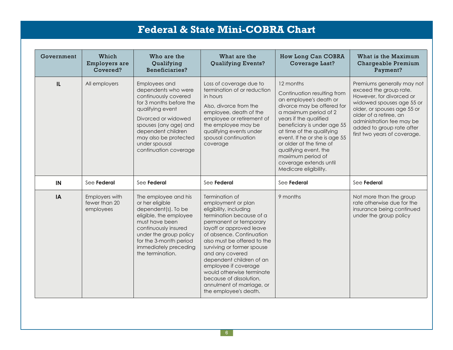| Government | Which<br>Employers are<br>Covered?           | Who are the<br>Qualifying<br>Beneficiaries?                                                                                                                                                                                                          | What are the<br><b>Qualifying Events?</b>                                                                                                                                                                                                                                                                        | How Long Can COBRA<br>Coverage Last?                                                                                                                                                                                                                                                                                                                                         | What is the Maximum<br>Chargeable Premium<br>Payment?                                                                                                                                                                                                            |
|------------|----------------------------------------------|------------------------------------------------------------------------------------------------------------------------------------------------------------------------------------------------------------------------------------------------------|------------------------------------------------------------------------------------------------------------------------------------------------------------------------------------------------------------------------------------------------------------------------------------------------------------------|------------------------------------------------------------------------------------------------------------------------------------------------------------------------------------------------------------------------------------------------------------------------------------------------------------------------------------------------------------------------------|------------------------------------------------------------------------------------------------------------------------------------------------------------------------------------------------------------------------------------------------------------------|
| IL         | All employers                                | Employees and<br>dependents who were<br>continuously covered<br>for 3 months before the<br>qualifying event<br>Divorced or widowed<br>spouses (any age) and<br>dependent children<br>may also be protected<br>under spousal<br>continuation coverage | Loss of coverage due to<br>termination of or reduction<br>in hours<br>Also, divorce from the<br>employee, death of the<br>employee or retirement of<br>the employee may be<br>qualifying events under<br>spousal continuation<br>coverage                                                                        | 12 months<br>Continuation resulting from<br>an employee's death or<br>divorce may be offered for<br>a maximum period of 2<br>years if the qualified<br>beneficiary is under age 55<br>at time of the qualifying<br>event. If he or she is age 55<br>or older at the time of<br>qualifying event, the<br>maximum period of<br>coverage extends until<br>Medicare eligibility. | Premiums generally may not<br>exceed the group rate.<br>However, for divorced or<br>widowed spouses age 55 or<br>older, or spouses age 55 or<br>older of a retiree, an<br>administration fee may be<br>added to group rate after<br>first two years of coverage. |
| IN         | See Federal                                  | See Federal                                                                                                                                                                                                                                          | See Federal                                                                                                                                                                                                                                                                                                      | See Federal                                                                                                                                                                                                                                                                                                                                                                  | See Federal                                                                                                                                                                                                                                                      |
| IA         | Employers with<br>fewer than 20<br>employees | The employee and his<br>or her eligible<br>dependent(s). To be<br>eligible, the employee<br>must have been<br>continuously insured<br>under the group policy<br>for the 3-month period<br>immediately preceding<br>the termination.                  | Termination of<br>employment or plan<br>eligibility, including<br>termination because of a<br>permanent or temporary<br>layoff or approved leave<br>of absence. Continuation<br>also must be offered to the<br>surviving or former spouse<br>and any covered<br>dependent children of an<br>employee if coverage | 9 months                                                                                                                                                                                                                                                                                                                                                                     | Not more than the group<br>rate otherwise due for the<br>insurance being continued<br>under the group policy                                                                                                                                                     |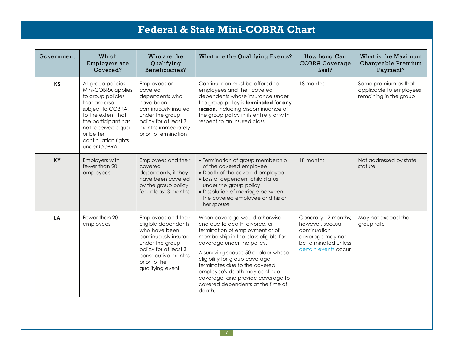| Government | Which<br>Employers are<br>Covered?                                                                                                                                                                                          | Who are the<br>Qualifying<br>Beneficiaries?                                                                                                                                               | What are the Qualifying Events?                                                                                                                                                                                                                                                                                                                                                                         | How Long Can<br><b>COBRA Coverage</b><br>Last?                                                                               | What is the Maximum<br>Chargeable Premium<br>Payment?                     |
|------------|-----------------------------------------------------------------------------------------------------------------------------------------------------------------------------------------------------------------------------|-------------------------------------------------------------------------------------------------------------------------------------------------------------------------------------------|---------------------------------------------------------------------------------------------------------------------------------------------------------------------------------------------------------------------------------------------------------------------------------------------------------------------------------------------------------------------------------------------------------|------------------------------------------------------------------------------------------------------------------------------|---------------------------------------------------------------------------|
| <b>KS</b>  | All group policies.<br>Mini-COBRA applies<br>to group policies<br>that are also<br>subject to COBRA,<br>to the extent that<br>the participant has<br>not received equal<br>or better<br>continuation rights<br>under COBRA. | Employees or<br>covered<br>dependents who<br>have been<br>continuously insured<br>under the group<br>policy for at least 3<br>months immediately<br>prior to termination                  | Continuation must be offered to<br>employees and their covered<br>dependents whose insurance under<br>the group policy is terminated for any<br>reason, including discontinuance of<br>the group policy in its entirety or with<br>respect to an insured class                                                                                                                                          | 18 months                                                                                                                    | Same premium as that<br>applicable to employees<br>remaining in the group |
| <b>KY</b>  | Employers with<br>fewer than 20<br>employees                                                                                                                                                                                | Employees and their<br>covered<br>dependents, if they<br>have been covered<br>by the group policy<br>for at least 3 months                                                                | • Termination of group membership<br>of the covered employee<br>• Death of the covered employee<br>• Loss of dependent child status<br>under the group policy<br>· Dissolution of marriage between<br>the covered employee and his or<br>her spouse                                                                                                                                                     | 18 months                                                                                                                    | Not addressed by state<br>statute                                         |
| LA         | Fewer than 20<br>employees                                                                                                                                                                                                  | Employees and their<br>eligible dependents<br>who have been<br>continuously insured<br>under the group<br>policy for at least 3<br>consecutive months<br>prior to the<br>qualifying event | When coverage would otherwise<br>end due to death, divorce, or<br>termination of employment or of<br>membership in the class eligible for<br>coverage under the policy.<br>A surviving spouse 50 or older whose<br>eligibility for group coverage<br>terminates due to the covered<br>employee's death may continue<br>coverage, and provide coverage to<br>covered dependents at the time of<br>death. | Generally 12 months;<br>however, spousal<br>continuation<br>coverage may not<br>be terminated unless<br>certain events occur | May not exceed the<br>group rate                                          |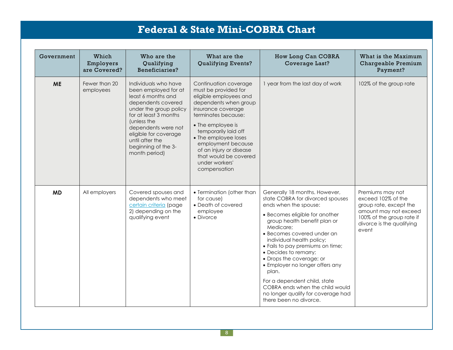| Government | Which<br>Employers<br>are Covered? | Who are the<br>Qualifying<br>Beneficiaries?                                                                                                                                                                                                                           | What are the<br><b>Qualifying Events?</b>                                                                                                                                                                                                                                                                                      | How Long Can COBRA<br>Coverage Last?                                                                                                                                                                                                                                                                                                                                                                                                                                                                         | What is the Maximum<br>Chargeable Premium<br>Payment?                                                                                                        |
|------------|------------------------------------|-----------------------------------------------------------------------------------------------------------------------------------------------------------------------------------------------------------------------------------------------------------------------|--------------------------------------------------------------------------------------------------------------------------------------------------------------------------------------------------------------------------------------------------------------------------------------------------------------------------------|--------------------------------------------------------------------------------------------------------------------------------------------------------------------------------------------------------------------------------------------------------------------------------------------------------------------------------------------------------------------------------------------------------------------------------------------------------------------------------------------------------------|--------------------------------------------------------------------------------------------------------------------------------------------------------------|
| <b>ME</b>  | Fewer than 20<br>employees         | Individuals who have<br>been employed for at<br>least 6 months and<br>dependents covered<br>under the group policy<br>for at least 3 months<br>(unless the<br>dependents were not<br>eligible for coverage<br>until after the<br>beginning of the 3-<br>month period) | Continuation coverage<br>must be provided for<br>eligible employees and<br>dependents when group<br>insurance coverage<br>terminates because:<br>• The employee is<br>temporarily laid off<br>• The employee loses<br>employment because<br>of an injury or disease<br>that would be covered<br>under workers'<br>compensation | I year from the last day of work                                                                                                                                                                                                                                                                                                                                                                                                                                                                             | 102% of the group rate                                                                                                                                       |
| <b>MD</b>  | All employers                      | Covered spouses and<br>dependents who meet<br>certain criteria (page<br>2) depending on the<br>qualifying event                                                                                                                                                       | • Termination (other than<br>for cause)<br>• Death of covered<br>employee<br>• Divorce                                                                                                                                                                                                                                         | Generally 18 months. However,<br>state COBRA for divorced spouses<br>ends when the spouse:<br>• Becomes eligible for another<br>group health benefit plan or<br>Medicare:<br>· Becomes covered under an<br>individual health policy;<br>• Fails to pay premiums on time;<br>• Decides to remarry;<br>• Drops the coverage; or<br>• Employer no longer offers any<br>plan.<br>For a dependent child, state<br>COBRA ends when the child would<br>no longer qualify for coverage had<br>there been no divorce. | Premiums may not<br>exceed 102% of the<br>group rate, except the<br>amount may not exceed<br>100% of the group rate if<br>divorce is the qualifying<br>event |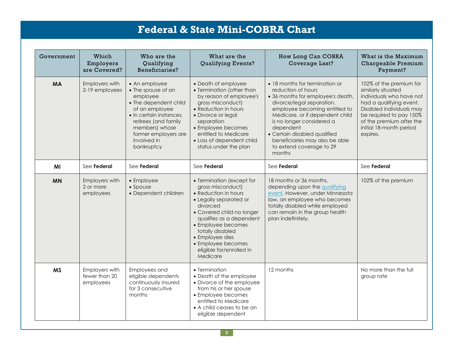| Government | Which<br>Employers<br>are Covered?           | Who are the<br>Qualifying<br>Beneficiaries?                                                                                                                                                                          | What are the<br>Qualifying Events?                                                                                                                                                                                                                                                               | How Long Can COBRA<br>Coverage Last?                                                                                                                                                                                                                                                                                                         | What is the Maximum<br>Chargeable Premium<br>Payment?                                                                                                                                                                          |
|------------|----------------------------------------------|----------------------------------------------------------------------------------------------------------------------------------------------------------------------------------------------------------------------|--------------------------------------------------------------------------------------------------------------------------------------------------------------------------------------------------------------------------------------------------------------------------------------------------|----------------------------------------------------------------------------------------------------------------------------------------------------------------------------------------------------------------------------------------------------------------------------------------------------------------------------------------------|--------------------------------------------------------------------------------------------------------------------------------------------------------------------------------------------------------------------------------|
| <b>MA</b>  | Employers with<br>2-19 employees             | • An employee<br>• The spouse of an<br>employee<br>• The dependent child<br>of an employee<br>• In certain instances,<br>retirees (and family<br>members) whose<br>former employers are<br>involved in<br>bankruptcy | • Death of employee<br>• Termination (other than<br>by reason of employee's<br>gross misconduct)<br>• Reduction in hours<br>· Divorce or legal<br>separation<br>• Employee becomes<br>entitled to Medicare<br>• Loss of dependent child<br>status under the plan                                 | • 18 months for termination or<br>reduction of hours<br>• 36 months for employee's death,<br>divorce/legal separation,<br>employee becoming entitled to<br>Medicare, or if dependent child<br>is no longer considered a<br>dependent<br>• Certain disabled qualified<br>beneficiaries may also be able<br>to extend coverage to 29<br>months | 102% of the premium for<br>similarly situated<br>individuals who have not<br>had a qualifying event.<br>Disabled individuals may<br>be required to pay 150%<br>of the premium after the<br>initial 18-month period<br>expires. |
| MI         | See Federal                                  | See Federal                                                                                                                                                                                                          | See Federal                                                                                                                                                                                                                                                                                      | See Federal                                                                                                                                                                                                                                                                                                                                  | See Federal                                                                                                                                                                                                                    |
| <b>MN</b>  | Employers with<br>2 or more<br>employees     | • Employee<br>• Spouse<br>• Dependent children                                                                                                                                                                       | • Termination (except for<br>gross misconduct)<br>• Reduction in hours<br>• Legally separated or<br>divorced<br>• Covered child no longer<br>qualifies as a dependent<br>• Employee becomes<br>totally disabled<br>• Employee dies<br>• Employee becomes<br>eligible for/enrolled in<br>Medicare | 18 months or 36 months,<br>depending upon the qualifying<br>event. However, under Minnesota<br>law, an employee who becomes<br>totally disabled while employed<br>can remain in the group health<br>plan indefinitely.                                                                                                                       | 102% of the premium                                                                                                                                                                                                            |
| <b>MS</b>  | Employers with<br>fewer than 20<br>employees | Employees and<br>eligible dependents<br>continuously insured<br>for 3 consecutive<br>months                                                                                                                          | • Termination<br>• Death of the employee<br>• Divorce of the employee<br>from his or her spouse<br>• Employee becomes<br>entitled to Medicare<br>$\bullet$ A child ceases to be an<br>eligible dependent                                                                                         | 12 months                                                                                                                                                                                                                                                                                                                                    | No more than the full<br>group rate                                                                                                                                                                                            |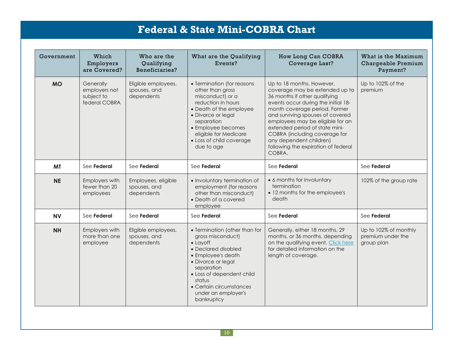| Government | Which<br>Employers<br>are Covered?                        | Who are the<br>Qualifying<br>Beneficiaries?       | What are the Qualifying<br>Events?                                                                                                                                                                                                                             | How Long Can COBRA<br>Coverage Last?                                                                                                                                                                                                                                                                                                                                                        | What is the Maximum<br>Chargeable Premium<br>Payment?    |
|------------|-----------------------------------------------------------|---------------------------------------------------|----------------------------------------------------------------------------------------------------------------------------------------------------------------------------------------------------------------------------------------------------------------|---------------------------------------------------------------------------------------------------------------------------------------------------------------------------------------------------------------------------------------------------------------------------------------------------------------------------------------------------------------------------------------------|----------------------------------------------------------|
| <b>MO</b>  | Generally<br>employers not<br>subject to<br>federal COBRA | Eligible employees,<br>spouses, and<br>dependents | • Termination (for reasons<br>other than gross<br>misconduct) or a<br>reduction in hours<br>• Death of the employee<br>• Divorce or legal<br>separation<br>• Employee becomes<br>eligible for Medicare<br>• Loss of child coverage<br>due to age               | Up to 18 months. However,<br>coverage may be extended up to<br>36 months if other qualifying<br>events occur during the initial 18-<br>month coverage period. Former<br>and surviving spouses of covered<br>employees may be eligible for an<br>extended period of state mini-<br>COBRA (including coverage for<br>any dependent children)<br>following the expiration of federal<br>COBRA. | Up to 102% of the<br>premium                             |
| <b>MT</b>  | See Federal                                               | See Federal                                       | See Federal                                                                                                                                                                                                                                                    | See Federal                                                                                                                                                                                                                                                                                                                                                                                 | See Federal                                              |
| <b>NE</b>  | Employers with<br>fewer than 20<br>employees              | Employees, eligible<br>spouses, and<br>dependents | • Involuntary termination of<br>employment (for reasons<br>other than misconduct)<br>• Death of a covered<br>employee                                                                                                                                          | • 6 months for involuntary<br>termination<br>• 12 months for the employee's<br>death                                                                                                                                                                                                                                                                                                        | 102% of the group rate                                   |
| <b>NV</b>  | See Federal                                               | See Federal                                       | See Federal                                                                                                                                                                                                                                                    | See Federal                                                                                                                                                                                                                                                                                                                                                                                 | See Federal                                              |
| <b>NH</b>  | Employers with<br>more than one<br>employee               | Eligible employees,<br>spouses, and<br>dependents | • Termination (other than for<br>gross misconduct)<br>$\bullet$ Layoff<br>• Declared disabled<br>• Employee's death<br>• Divorce or legal<br>separation<br>• Loss of dependent child<br>status<br>• Certain circumstances<br>under an employer's<br>bankruptcy | Generally, either 18 months, 29<br>months, or 36 months, depending<br>on the qualifying event. Click here<br>for detailed information on the<br>length of coverage.                                                                                                                                                                                                                         | Up to 102% of monthly<br>premium under the<br>group plan |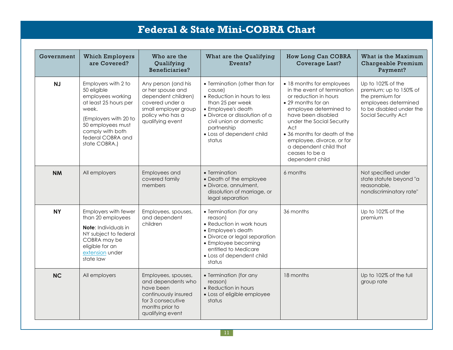| Government | <b>Which Employers</b><br>are Covered?                                                                                                                                                            | Who are the<br>Qualifying<br>Beneficiaries?                                                                                                        | What are the Qualifying<br>Events?                                                                                                                                                                                                  | How Long Can COBRA<br>Coverage Last?                                                                                                                                                                                                                                                                                    | What is the Maximum<br>Chargeable Premium<br>Payment?                                                                                     |
|------------|---------------------------------------------------------------------------------------------------------------------------------------------------------------------------------------------------|----------------------------------------------------------------------------------------------------------------------------------------------------|-------------------------------------------------------------------------------------------------------------------------------------------------------------------------------------------------------------------------------------|-------------------------------------------------------------------------------------------------------------------------------------------------------------------------------------------------------------------------------------------------------------------------------------------------------------------------|-------------------------------------------------------------------------------------------------------------------------------------------|
| NJ         | Employers with 2 to<br>50 eligible<br>employees working<br>at least 25 hours per<br>week.<br>(Employers with 20 to<br>50 employees must<br>comply with both<br>federal COBRA and<br>state COBRA.) | Any person (and his<br>or her spouse and<br>dependent children)<br>covered under a<br>small employer group<br>policy who has a<br>qualifying event | • Termination (other than for<br>cause)<br>• Reduction in hours to less<br>than 25 per week<br>• Employee's death<br>• Divorce or dissolution of a<br>civil union or domestic<br>partnership<br>• Loss of dependent child<br>status | • 18 months for employees<br>in the event of termination<br>or reduction in hours<br>• 29 months for an<br>employee determined to<br>have been disabled<br>under the Social Security<br>Act<br>• 36 months for death of the<br>employee, divorce, or for<br>a dependent child that<br>ceases to be a<br>dependent child | Up to 102% of the<br>premium; up to 150% of<br>the premium for<br>employees determined<br>to be disabled under the<br>Social Security Act |
| <b>NM</b>  | All employers                                                                                                                                                                                     | Employees and<br>covered family<br>members                                                                                                         | • Termination<br>• Death of the employee<br>· Divorce, annulment,<br>dissolution of marriage, or<br>legal separation                                                                                                                | 6 months                                                                                                                                                                                                                                                                                                                | Not specified under<br>state statute beyond "a<br>reasonable,<br>nondiscriminatory rate"                                                  |
| <b>NY</b>  | Employers with fewer<br>than 20 employees<br>Note: Individuals in<br>NY subject to federal<br>COBRA may be<br>eligible for an<br>extension under<br>state law                                     | Employees, spouses,<br>and dependent<br>children                                                                                                   | • Termination (for any<br>reason)<br>• Reduction in work hours<br>• Employee's death<br>• Divorce or legal separation<br>• Employee becoming<br>entitled to Medicare<br>• Loss of dependent child<br>status                         | 36 months                                                                                                                                                                                                                                                                                                               | Up to 102% of the<br>premium                                                                                                              |
| <b>NC</b>  | All employers                                                                                                                                                                                     | Employees, spouses,<br>and dependents who<br>have been<br>continuously insured<br>for 3 consecutive<br>months prior to<br>qualifying event         | • Termination (for any<br>reason)<br>• Reduction in hours<br>• Loss of eligible employee<br>status                                                                                                                                  | 18 months                                                                                                                                                                                                                                                                                                               | Up to 102% of the full<br>group rate                                                                                                      |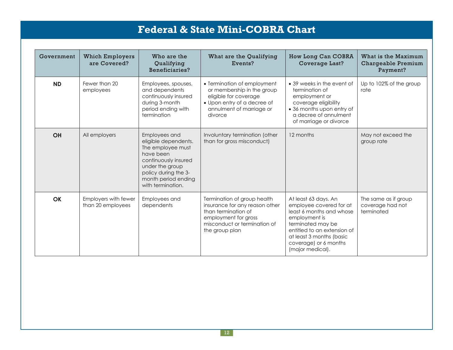| Government | <b>Which Employers</b><br>are Covered?    | Who are the<br>Qualifying<br>Beneficiaries?                                                                                                                                            | What are the Qualifying<br>Events?                                                                                                                             | How Long Can COBRA<br>Coverage Last?                                                                                                                                                                                      | What is the Maximum<br>Chargeable Premium<br>Payment?  |
|------------|-------------------------------------------|----------------------------------------------------------------------------------------------------------------------------------------------------------------------------------------|----------------------------------------------------------------------------------------------------------------------------------------------------------------|---------------------------------------------------------------------------------------------------------------------------------------------------------------------------------------------------------------------------|--------------------------------------------------------|
| <b>ND</b>  | Fewer than 20<br>employees                | Employees, spouses,<br>and dependents<br>continuously insured<br>during 3-month<br>period ending with<br>termination                                                                   | • Termination of employment<br>or membership in the group<br>eligible for coverage<br>• Upon entry of a decree of<br>annulment of marriage or<br>divorce       | • 39 weeks in the event of<br>termination of<br>employment or<br>coverage eligibility<br>• 36 months upon entry of<br>a decree of annulment<br>of marriage or divorce                                                     | Up to 102% of the group<br>rate                        |
| <b>OH</b>  | All employers                             | Employees and<br>eligible dependents.<br>The employee must<br>have been<br>continuously insured<br>under the group<br>policy during the 3-<br>month period ending<br>with termination. | Involuntary termination (other<br>than for gross misconduct)                                                                                                   | 12 months                                                                                                                                                                                                                 | May not exceed the<br>group rate                       |
| <b>OK</b>  | Employers with fewer<br>than 20 employees | Employees and<br>dependents                                                                                                                                                            | Termination of group health<br>insurance for any reason other<br>than termination of<br>employment for gross<br>misconduct or termination of<br>the group plan | At least 63 days. An<br>employee covered for at<br>least 6 months and whose<br>employment is<br>terminated may be<br>entitled to an extension of<br>at least 3 months (basic<br>coverage) or 6 months<br>(major medical). | The same as if group<br>coverage had not<br>terminated |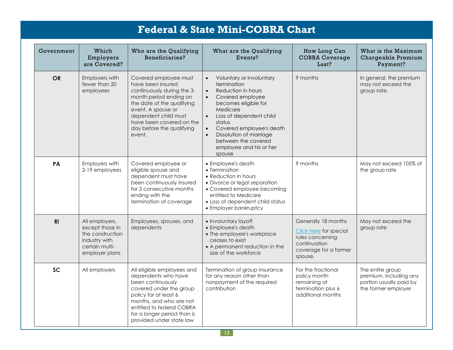| Government     | Which<br>Employers<br>are Covered?                                                                         | Who are the Qualifying<br>Beneficiaries?                                                                                                                                                                                                          | What are the Qualifying<br>Events?                                                                                                                                                                                                                                                                                                             | How Long Can<br><b>COBRA Coverage</b><br>Last?                                                                        | What is the Maximum<br>Chargeable Premium<br>Payment?                                        |
|----------------|------------------------------------------------------------------------------------------------------------|---------------------------------------------------------------------------------------------------------------------------------------------------------------------------------------------------------------------------------------------------|------------------------------------------------------------------------------------------------------------------------------------------------------------------------------------------------------------------------------------------------------------------------------------------------------------------------------------------------|-----------------------------------------------------------------------------------------------------------------------|----------------------------------------------------------------------------------------------|
| <b>OR</b>      | Employers with<br>fewer than 20<br>employees                                                               | Covered employee must<br>have been insured<br>continuously during the 3-<br>month period ending on<br>the date of the qualifying<br>event. A spouse or<br>dependent child must<br>have been covered on the<br>day before the qualifying<br>event. | Voluntary or involuntary<br>$\bullet$<br>termination<br>Reduction in hours<br>$\bullet$<br>Covered employee<br>$\bullet$<br>becomes eligible for<br>Medicare<br>Loss of dependent child<br>$\bullet$<br>status<br>Covered employee's death<br>$\bullet$<br>Dissolution of marriage<br>between the covered<br>employee and his or her<br>spouse | 9 months                                                                                                              | In general, the premium<br>may not exceed the<br>group rate.                                 |
| PA             | Employers with<br>2-19 employees                                                                           | Covered employee or<br>eligible spouse and<br>dependent must have<br>been continuously insured<br>for 3 consecutive months<br>ending with the<br>termination of coverage                                                                          | • Employee's death<br>• Termination<br>• Reduction in hours<br>• Divorce or legal separation<br>• Covered employee becoming<br>entitled to Medicare<br>• Loss of dependent child status<br>• Employer bankruptcy                                                                                                                               | 9 months                                                                                                              | May not exceed 105% of<br>the group rate                                                     |
| R <sub>l</sub> | All employers,<br>except those in<br>the construction<br>industry with<br>certain multi-<br>employer plans | Employees, spouses, and<br>dependents                                                                                                                                                                                                             | · Involuntary layoff<br>• Employee's death<br>• The employee's workplace<br>ceases to exist<br>• A permanent reduction in the<br>size of the workforce                                                                                                                                                                                         | Generally 18 months<br>Click here for special<br>rules concerning<br>continuation<br>coverage for a former<br>spouse. | May not exceed the<br>group rate                                                             |
| <b>SC</b>      | All employers                                                                                              | All eligible employees and<br>dependents who have<br>been continuously<br>covered under the group<br>policy for at least 6<br>months, and who are not<br>entitled to federal COBRA<br>for a longer period than is<br>provided under state law     | Termination of group insurance<br>for any reason other than<br>nonpayment of the required<br>contribution                                                                                                                                                                                                                                      | For the fractional<br>policy month<br>remaining at<br>termination plus 6<br>additional months                         | The entire group<br>premium, including any<br>portion usually paid by<br>the former employer |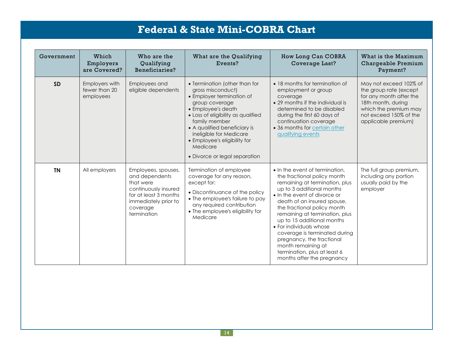| Government | Which<br>Employers<br>are Covered?           | Who are the<br>Qualifying<br>Beneficiaries?                                                                                                            | What are the Qualifying<br>Events?                                                                                                                                                                                                                                                                                     | How Long Can COBRA<br>Coverage Last?                                                                                                                                                                                                                                                                                                                                                                                                                                    | What is the Maximum<br>Chargeable Premium<br>Payment?                                                                                                                       |
|------------|----------------------------------------------|--------------------------------------------------------------------------------------------------------------------------------------------------------|------------------------------------------------------------------------------------------------------------------------------------------------------------------------------------------------------------------------------------------------------------------------------------------------------------------------|-------------------------------------------------------------------------------------------------------------------------------------------------------------------------------------------------------------------------------------------------------------------------------------------------------------------------------------------------------------------------------------------------------------------------------------------------------------------------|-----------------------------------------------------------------------------------------------------------------------------------------------------------------------------|
| <b>SD</b>  | Employers with<br>fewer than 20<br>employees | Employees and<br>eligible dependents                                                                                                                   | • Termination (other than for<br>gross misconduct)<br>• Employer termination of<br>group coverage<br>• Employee's death<br>• Loss of eligibility as qualified<br>family member<br>• A qualified beneficiary is<br>ineligible for Medicare<br>• Employee's eligibility for<br>Medicare<br>• Divorce or legal separation | • 18 months for termination of<br>employment or group<br>coverage<br>• 29 months if the individual is<br>determined to be disabled<br>during the first 60 days of<br>continuation coverage<br>• 36 months for certain other<br>qualifying events                                                                                                                                                                                                                        | May not exceed 102% of<br>the group rate (except<br>for any month after the<br>18th month, during<br>which the premium may<br>not exceed 150% of the<br>applicable premium) |
| <b>TN</b>  | All employers                                | Employees, spouses,<br>and dependents<br>that were<br>continuously insured<br>for at least 3 months<br>immediately prior to<br>coverage<br>termination | Termination of employee<br>coverage for any reason,<br>except for:<br>• Discontinuance of the policy<br>• The employee's failure to pay<br>any required contribution<br>• The employee's eligibility for<br>Medicare                                                                                                   | • In the event of termination,<br>the fractional policy month<br>remaining at termination, plus<br>up to 3 additional months<br>• In the event of divorce or<br>death of an insured spouse,<br>the fractional policy month<br>remaining at termination, plus<br>up to 15 additional months<br>• For individuals whose<br>coverage is terminated during<br>pregnancy, the fractional<br>month remaining at<br>termination, plus at least 6<br>months after the pregnancy | The full group premium,<br>including any portion<br>usually paid by the<br>employer                                                                                         |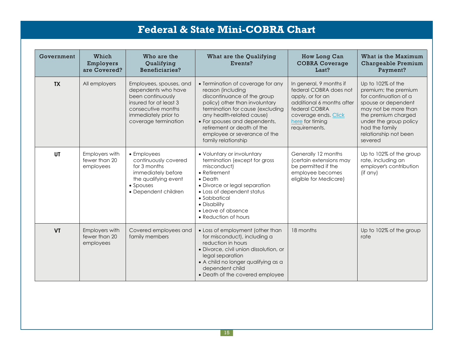| Government | Which<br>Employers<br>are Covered?           | Who are the<br>Qualifying<br>Beneficiaries?                                                                                                                         | What are the Qualifying<br>Events?                                                                                                                                                                                                                                                                             | How Long Can<br><b>COBRA Coverage</b><br>Last?                                                                                                                                  | What is the Maximum<br>Chargeable Premium<br>Payment?                                                                                                                                                                    |
|------------|----------------------------------------------|---------------------------------------------------------------------------------------------------------------------------------------------------------------------|----------------------------------------------------------------------------------------------------------------------------------------------------------------------------------------------------------------------------------------------------------------------------------------------------------------|---------------------------------------------------------------------------------------------------------------------------------------------------------------------------------|--------------------------------------------------------------------------------------------------------------------------------------------------------------------------------------------------------------------------|
| <b>TX</b>  | All employers                                | Employees, spouses, and<br>dependents who have<br>been continuously<br>insured for at least 3<br>consecutive months<br>immediately prior to<br>coverage termination | • Termination of coverage for any<br>reason (including<br>discontinuance of the group<br>policy) other than involuntary<br>termination for cause (excluding<br>any health-related cause)<br>• For spouses and dependents,<br>retirement or death of the<br>employee or severance of the<br>family relationship | In general, 9 months if<br>federal COBRA does not<br>apply, or for an<br>additional 6 months after<br>federal COBRA<br>coverage ends. Click<br>here for timing<br>requirements. | Up to 102% of the<br>premium; the premium<br>for continuation of a<br>spouse or dependent<br>may not be more than<br>the premium charged<br>under the group policy<br>had the family<br>relationship not been<br>severed |
| <b>UT</b>  | Employers with<br>fewer than 20<br>employees | • Employees<br>continuously covered<br>for 3 months<br>immediately before<br>the qualifying event<br>• Spouses<br>• Dependent children                              | • Voluntary or involuntary<br>termination (except for gross<br>misconduct)<br>• Retirement<br>$\bullet$ Death<br>• Divorce or legal separation<br>• Loss of dependent status<br>• Sabbatical<br>• Disability<br>• Leave of absence<br>• Reduction of hours                                                     | Generally 12 months<br>(certain extensions may<br>be permitted if the<br>employee becomes<br>eligible for Medicare)                                                             | Up to 102% of the group<br>rate, including an<br>employer's contribution<br>(if any)                                                                                                                                     |
| <b>VT</b>  | Employers with<br>fewer than 20<br>employees | Covered employees and<br>family members                                                                                                                             | • Loss of employment (other than<br>for misconduct), including a<br>reduction in hours<br>· Divorce, civil union dissolution, or<br>legal separation<br>• A child no longer qualifying as a<br>dependent child<br>• Death of the covered employee                                                              | 18 months                                                                                                                                                                       | Up to 102% of the group<br>rate                                                                                                                                                                                          |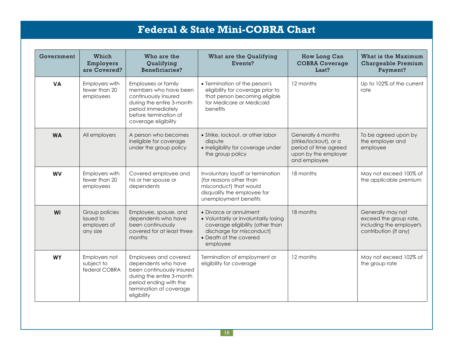| Government | Which<br>Employers<br>are Covered?                      | Who are the<br>Qualifying<br>Beneficiaries?                                                                                                                                | What are the Qualifying<br>Events?                                                                                                                                     | How Long Can<br><b>COBRA Coverage</b><br>Last?                                                                | What is the Maximum<br>Chargeable Premium<br>Payment?                                            |
|------------|---------------------------------------------------------|----------------------------------------------------------------------------------------------------------------------------------------------------------------------------|------------------------------------------------------------------------------------------------------------------------------------------------------------------------|---------------------------------------------------------------------------------------------------------------|--------------------------------------------------------------------------------------------------|
| <b>VA</b>  | Employers with<br>fewer than 20<br>employees            | Employees or family<br>members who have been<br>continuously insured<br>during the entire 3-month<br>period immediately<br>before termination of<br>coverage eligibility   | • Termination of the person's<br>eligibility for coverage prior to<br>that person becoming eligible<br>for Medicare or Medicaid<br>benefits                            | 12 months                                                                                                     | Up to 102% of the current<br>rate                                                                |
| <b>WA</b>  | All employers                                           | A person who becomes<br>ineligible for coverage<br>under the group policy                                                                                                  | • Strike, lockout, or other labor<br>dispute<br>• Ineligibility for coverage under<br>the group policy                                                                 | Generally 6 months<br>(strike/lockout), or a<br>period of time agreed<br>upon by the employer<br>and employee | To be agreed upon by<br>the employer and<br>employee                                             |
| <b>WV</b>  | Employers with<br>fewer than 20<br>employees            | Covered employee and<br>his or her spouse or<br>dependents                                                                                                                 | Involuntary layoff or termination<br>(for reasons other than<br>misconduct) that would<br>disqualify the employee for<br>unemployment benefits                         | 18 months                                                                                                     | May not exceed 100% of<br>the applicable premium                                                 |
| <b>WI</b>  | Group policies<br>issued to<br>employers of<br>any size | Employee, spouse, and<br>dependents who have<br>been continuously<br>covered for at least three<br>months                                                                  | • Divorce or annulment<br>• Voluntarily or involuntarily losing<br>coverage eligibility (other than<br>discharge for misconduct)<br>• Death of the covered<br>employee | 18 months                                                                                                     | Generally may not<br>exceed the group rate,<br>including the employer's<br>contribution (if any) |
| <b>WY</b>  | Employers not<br>subject to<br>federal COBRA            | Employees and covered<br>dependents who have<br>been continuously insured<br>during the entire 3-month<br>period ending with the<br>termination of coverage<br>eligibility | Termination of employment or<br>eligibility for coverage                                                                                                               | 12 months                                                                                                     | May not exceed 102% of<br>the group rate                                                         |